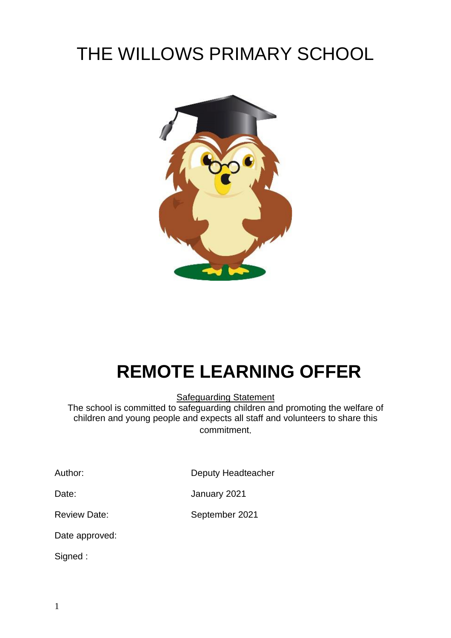# THE WILLOWS PRIMARY SCHOOL



# **REMOTE LEARNING OFFER**

Safeguarding Statement

The school is committed to safeguarding children and promoting the welfare of children and young people and expects all staff and volunteers to share this commitment.

Author: Deputy Headteacher

Date: January 2021

Review Date: September 2021

Date approved:

Signed :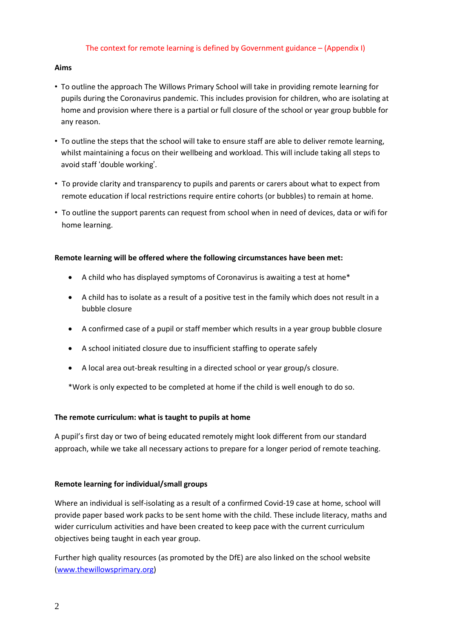#### The context for remote learning is defined by Government guidance – (Appendix I)

#### **Aims**

- To outline the approach The Willows Primary School will take in providing remote learning for pupils during the Coronavirus pandemic. This includes provision for children, who are isolating at home and provision where there is a partial or full closure of the school or year group bubble for any reason.
- To outline the steps that the school will take to ensure staff are able to deliver remote learning, whilst maintaining a focus on their wellbeing and workload. This will include taking all steps to avoid staff 'double working'.
- To provide clarity and transparency to pupils and parents or carers about what to expect from remote education if local restrictions require entire cohorts (or bubbles) to remain at home.
- To outline the support parents can request from school when in need of devices, data or wifi for home learning.

#### **Remote learning will be offered where the following circumstances have been met:**

- A child who has displayed symptoms of Coronavirus is awaiting a test at home\*
- A child has to isolate as a result of a positive test in the family which does not result in a bubble closure
- A confirmed case of a pupil or staff member which results in a year group bubble closure
- A school initiated closure due to insufficient staffing to operate safely
- A local area out-break resulting in a directed school or year group/s closure.

\*Work is only expected to be completed at home if the child is well enough to do so.

# **The remote curriculum: what is taught to pupils at home**

A pupil's first day or two of being educated remotely might look different from our standard approach, while we take all necessary actions to prepare for a longer period of remote teaching.

#### **Remote learning for individual/small groups**

Where an individual is self-isolating as a result of a confirmed Covid-19 case at home, school will provide paper based work packs to be sent home with the child. These include literacy, maths and wider curriculum activities and have been created to keep pace with the current curriculum objectives being taught in each year group.

Further high quality resources (as promoted by the DfE) are also linked on the school website [\(www.thewillowsprimary.org\)](http://www.thewillowsprimary.org/)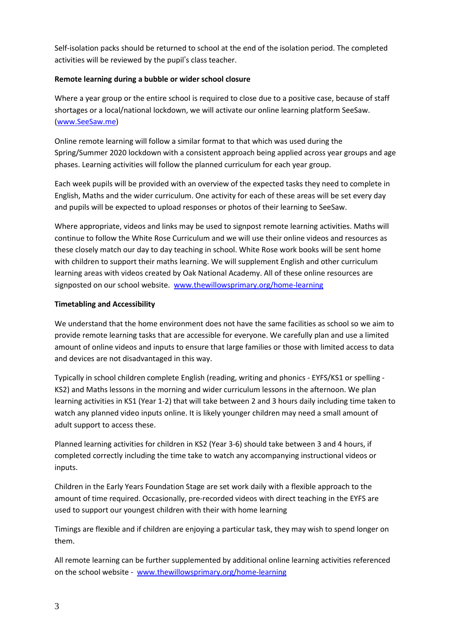Self-isolation packs should be returned to school at the end of the isolation period. The completed activities will be reviewed by the pupil's class teacher.

# **Remote learning during a bubble or wider school closure**

Where a year group or the entire school is required to close due to a positive case, because of staff shortages or a local/national lockdown, we will activate our online learning platform SeeSaw. [\(www.SeeSaw.me\)](http://www.seesaw.me/)

Online remote learning will follow a similar format to that which was used during the Spring/Summer 2020 lockdown with a consistent approach being applied across year groups and age phases. Learning activities will follow the planned curriculum for each year group.

Each week pupils will be provided with an overview of the expected tasks they need to complete in English, Maths and the wider curriculum. One activity for each of these areas will be set every day and pupils will be expected to upload responses or photos of their learning to SeeSaw.

Where appropriate, videos and links may be used to signpost remote learning activities. Maths will continue to follow the White Rose Curriculum and we will use their online videos and resources as these closely match our day to day teaching in school. White Rose work books will be sent home with children to support their maths learning. We will supplement English and other curriculum learning areas with videos created by Oak National Academy. All of these online resources are signposted on our school website. [www.thewillowsprimary.org/home-learning](http://www.thewillowsprimary.org/home-learning)

# **Timetabling and Accessibility**

We understand that the home environment does not have the same facilities as school so we aim to provide remote learning tasks that are accessible for everyone. We carefully plan and use a limited amount of online videos and inputs to ensure that large families or those with limited access to data and devices are not disadvantaged in this way.

Typically in school children complete English (reading, writing and phonics - EYFS/KS1 or spelling - KS2) and Maths lessons in the morning and wider curriculum lessons in the afternoon. We plan learning activities in KS1 (Year 1-2) that will take between 2 and 3 hours daily including time taken to watch any planned video inputs online. It is likely younger children may need a small amount of adult support to access these.

Planned learning activities for children in KS2 (Year 3-6) should take between 3 and 4 hours, if completed correctly including the time take to watch any accompanying instructional videos or inputs.

Children in the Early Years Foundation Stage are set work daily with a flexible approach to the amount of time required. Occasionally, pre-recorded videos with direct teaching in the EYFS are used to support our youngest children with their with home learning

Timings are flexible and if children are enjoying a particular task, they may wish to spend longer on them.

All remote learning can be further supplemented by additional online learning activities referenced on the school website - [www.thewillowsprimary.org/home-learning](http://www.thewillowsprimary.org/home-learning)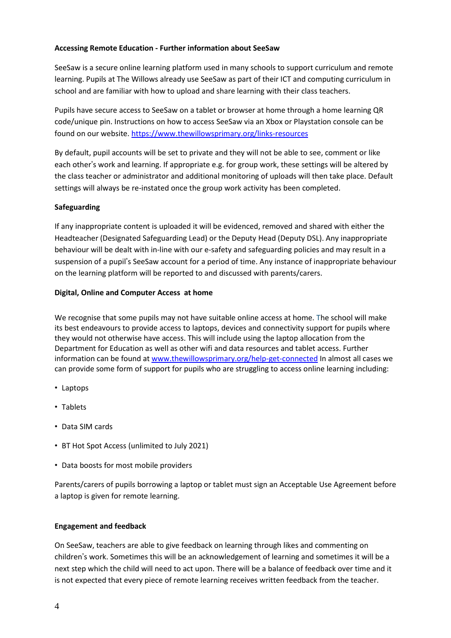# **Accessing Remote Education - Further information about SeeSaw**

SeeSaw is a secure online learning platform used in many schools to support curriculum and remote learning. Pupils at The Willows already use SeeSaw as part of their ICT and computing curriculum in school and are familiar with how to upload and share learning with their class teachers.

Pupils have secure access to SeeSaw on a tablet or browser at home through a home learning QR code/unique pin. Instructions on how to access SeeSaw via an Xbox or Playstation console can be found on our website. <https://www.thewillowsprimary.org/links-resources>

By default, pupil accounts will be set to private and they will not be able to see, comment or like each other's work and learning. If appropriate e.g. for group work, these settings will be altered by the class teacher or administrator and additional monitoring of uploads will then take place. Default settings will always be re-instated once the group work activity has been completed.

# **Safeguarding**

If any inappropriate content is uploaded it will be evidenced, removed and shared with either the Headteacher (Designated Safeguarding Lead) or the Deputy Head (Deputy DSL). Any inappropriate behaviour will be dealt with in-line with our e-safety and safeguarding policies and may result in a suspension of a pupil's SeeSaw account for a period of time. Any instance of inappropriate behaviour on the learning platform will be reported to and discussed with parents/carers.

# **Digital, Online and Computer Access at home**

We recognise that some pupils may not have suitable online access at home. The school will make its best endeavours to provide access to laptops, devices and connectivity support for pupils where they would not otherwise have access. This will include using the laptop allocation from the Department for Education as well as other wifi and data resources and tablet access. Further information can be found at [www.thewillowsprimary.org/help-get-connected](http://www.thewillowsprimary.org/help-get-connected) In almost all cases we can provide some form of support for pupils who are struggling to access online learning including:

- Laptops
- Tablets
- Data SIM cards
- BT Hot Spot Access (unlimited to July 2021)
- Data boosts for most mobile providers

Parents/carers of pupils borrowing a laptop or tablet must sign an Acceptable Use Agreement before a laptop is given for remote learning.

# **Engagement and feedback**

On SeeSaw, teachers are able to give feedback on learning through likes and commenting on children's work. Sometimes this will be an acknowledgement of learning and sometimes it will be a next step which the child will need to act upon. There will be a balance of feedback over time and it is not expected that every piece of remote learning receives written feedback from the teacher.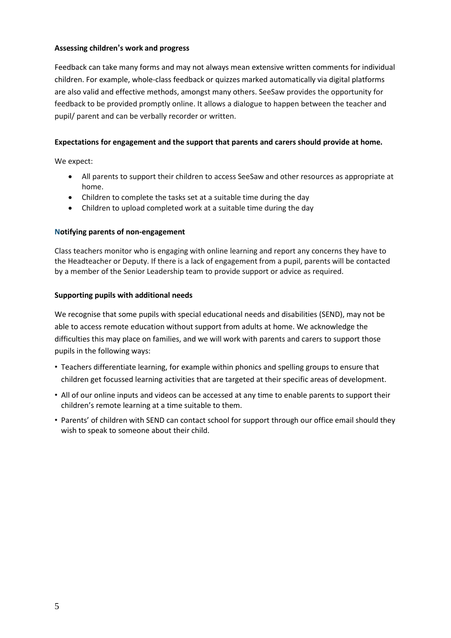## **Assessing children's work and progress**

Feedback can take many forms and may not always mean extensive written comments for individual children. For example, whole-class feedback or quizzes marked automatically via digital platforms are also valid and effective methods, amongst many others. SeeSaw provides the opportunity for feedback to be provided promptly online. It allows a dialogue to happen between the teacher and pupil/ parent and can be verbally recorder or written.

#### **Expectations for engagement and the support that parents and carers should provide at home.**

We expect:

- All parents to support their children to access SeeSaw and other resources as appropriate at home.
- Children to complete the tasks set at a suitable time during the day
- Children to upload completed work at a suitable time during the day

#### **Notifying parents of non-engagement**

Class teachers monitor who is engaging with online learning and report any concerns they have to the Headteacher or Deputy. If there is a lack of engagement from a pupil, parents will be contacted by a member of the Senior Leadership team to provide support or advice as required.

#### **Supporting pupils with additional needs**

We recognise that some pupils with special educational needs and disabilities (SEND), may not be able to access remote education without support from adults at home. We acknowledge the difficulties this may place on families, and we will work with parents and carers to support those pupils in the following ways:

- Teachers differentiate learning, for example within phonics and spelling groups to ensure that children get focussed learning activities that are targeted at their specific areas of development.
- All of our online inputs and videos can be accessed at any time to enable parents to support their children's remote learning at a time suitable to them.
- Parents' of children with SEND can contact school for support through our office email should they wish to speak to someone about their child.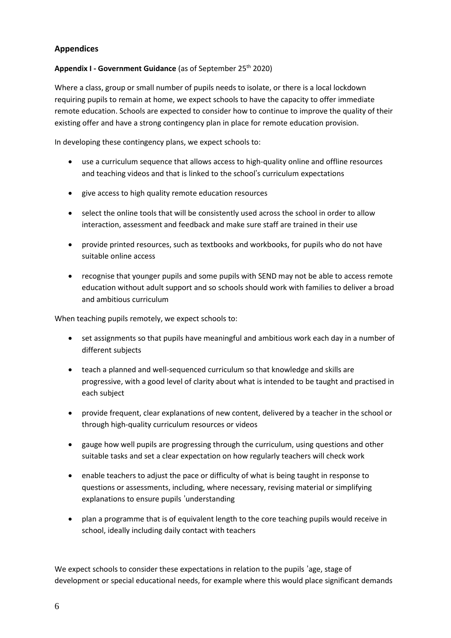# **Appendices**

# **Appendix I - Government Guidance** (as of September 25th 2020)

Where a class, group or small number of pupils needs to isolate, or there is a local lockdown requiring pupils to remain at home, we expect schools to have the capacity to offer immediate remote education. Schools are expected to consider how to continue to improve the quality of their existing offer and have a strong contingency plan in place for remote education provision.

In developing these contingency plans, we expect schools to:

- use a curriculum sequence that allows access to high-quality online and offline resources and teaching videos and that is linked to the school's curriculum expectations
- give access to high quality remote education resources
- select the online tools that will be consistently used across the school in order to allow interaction, assessment and feedback and make sure staff are trained in their use
- provide printed resources, such as textbooks and workbooks, for pupils who do not have suitable online access
- recognise that younger pupils and some pupils with SEND may not be able to access remote education without adult support and so schools should work with families to deliver a broad and ambitious curriculum

When teaching pupils remotely, we expect schools to:

- set assignments so that pupils have meaningful and ambitious work each day in a number of different subjects
- teach a planned and well-sequenced curriculum so that knowledge and skills are progressive, with a good level of clarity about what is intended to be taught and practised in each subject
- provide frequent, clear explanations of new content, delivered by a teacher in the school or through high-quality curriculum resources or videos
- gauge how well pupils are progressing through the curriculum, using questions and other suitable tasks and set a clear expectation on how regularly teachers will check work
- enable teachers to adjust the pace or difficulty of what is being taught in response to questions or assessments, including, where necessary, revising material or simplifying explanations to ensure pupils 'understanding
- plan a programme that is of equivalent length to the core teaching pupils would receive in school, ideally including daily contact with teachers

We expect schools to consider these expectations in relation to the pupils 'age, stage of development or special educational needs, for example where this would place significant demands